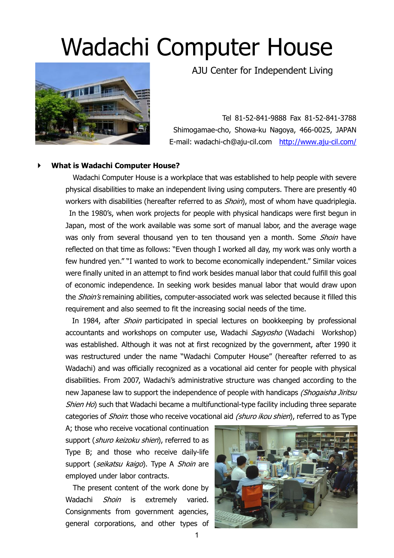# Wadachi Computer House



AJU Center for Independent Living

Tel 81-52-841-9888 Fax 81-52-841-3788 Shimogamae-cho, Showa-ku Nagoya, 466-0025, JAPAN E-mail: wadachi-ch@aju-cil.com <http://www.aju-cil.com/>

### **What is Wadachi Computer House?**

Wadachi Computer House is a workplace that was established to help people with severe physical disabilities to make an independent living using computers. There are presently 40 workers with disabilities (hereafter referred to as *Shoin*), most of whom have quadriplegia. In the 1980's, when work projects for people with physical handicaps were first begun in Japan, most of the work available was some sort of manual labor, and the average wage was only from several thousand yen to ten thousand yen a month. Some *Shoin* have reflected on that time as follows: "Even though I worked all day, my work was only worth a few hundred yen." "I wanted to work to become economically independent." Similar voices were finally united in an attempt to find work besides manual labor that could fulfill this goal of economic independence. In seeking work besides manual labor that would draw upon the *Shoin's* remaining abilities, computer-associated work was selected because it filled this requirement and also seemed to fit the increasing social needs of the time.

In 1984, after *Shoin* participated in special lectures on bookkeeping by professional accountants and workshops on computer use, Wadachi Sagyosho (Wadachi Workshop) was established. Although it was not at first recognized by the government, after 1990 it was restructured under the name "Wadachi Computer House" (hereafter referred to as Wadachi) and was officially recognized as a vocational aid center for people with physical disabilities. From 2007, Wadachi's administrative structure was changed according to the new Japanese law to support the independence of people with handicaps (Shogaisha Jiritsu Shien Ho) such that Wadachi became a multifunctional-type facility including three separate categories of *Shoin*: those who receive vocational aid (shuro ikou shien), referred to as Type

A; those who receive vocational continuation support (*shuro keizoku shien*), referred to as Type B; and those who receive daily-life support (seikatsu kaigo). Type A Shoin are employed under labor contracts.

The present content of the work done by Wadachi Shoin is extremely varied. Consignments from government agencies, general corporations, and other types of

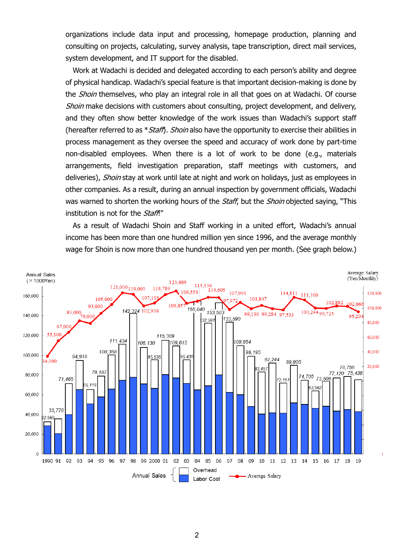organizations include data input and processing, homepage production, planning and consulting on projects, calculating, survey analysis, tape transcription, direct mail services, system development, and IT support for the disabled.

Work at Wadachi is decided and delegated according to each person's ability and degree of physical handicap. Wadachi's special feature is that important decision-making is done by the *Shoin* themselves, who play an integral role in all that goes on at Wadachi. Of course Shoin make decisions with customers about consulting, project development, and delivery, and they often show better knowledge of the work issues than Wadachi's support staff (hereafter referred to as  $*Staff$ ). *Shoin* also have the opportunity to exercise their abilities in process management as they oversee the speed and accuracy of work done by part-time non-disabled employees. When there is a lot of work to be done (e.g., materials arrangements, field investigation preparation, staff meetings with customers, and deliveries), *Shoin* stay at work until late at night and work on holidays, just as employees in other companies. As a result, during an annual inspection by government officials, Wadachi was warned to shorten the working hours of the *Staff*, but the *Shoin* objected saying, "This institution is not for the Staff!"

As a result of Wadachi Shoin and Staff working in a united effort, Wadachi's annual income has been more than one hundred million yen since 1996, and the average monthly wage for Shoin is now more than one hundred thousand yen per month. (See graph below.)

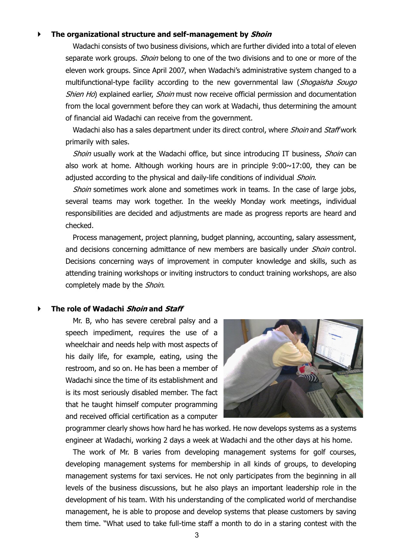## **The organizational structure and self-management by Shoin**

Wadachi consists of two business divisions, which are further divided into a total of eleven separate work groups. *Shoin* belong to one of the two divisions and to one or more of the eleven work groups. Since April 2007, when Wadachi's administrative system changed to a multifunctional-type facility according to the new governmental law (Shogaisha Sougo Shien Ho) explained earlier, Shoin must now receive official permission and documentation from the local government before they can work at Wadachi, thus determining the amount of financial aid Wadachi can receive from the government.

Wadachi also has a sales department under its direct control, where *Shoin* and *Staff* work primarily with sales.

Shoin usually work at the Wadachi office, but since introducing IT business, Shoin can also work at home. Although working hours are in principle  $9:00 \sim 17:00$ , they can be adjusted according to the physical and daily-life conditions of individual *Shoin*.

Shoin sometimes work alone and sometimes work in teams. In the case of large jobs, several teams may work together. In the weekly Monday work meetings, individual responsibilities are decided and adjustments are made as progress reports are heard and checked.

Process management, project planning, budget planning, accounting, salary assessment, and decisions concerning admittance of new members are basically under *Shoin* control. Decisions concerning ways of improvement in computer knowledge and skills, such as attending training workshops or inviting instructors to conduct training workshops, are also completely made by the Shoin.

#### **The role of Wadachi Shoin and Staff**

 Mr. B, who has severe cerebral palsy and a speech impediment, requires the use of a wheelchair and needs help with most aspects of his daily life, for example, eating, using the restroom, and so on. He has been a member of Wadachi since the time of its establishment and is its most seriously disabled member. The fact that he taught himself computer programming and received official certification as a computer



programmer clearly shows how hard he has worked. He now develops systems as a systems engineer at Wadachi, working 2 days a week at Wadachi and the other days at his home.

 The work of Mr. B varies from developing management systems for golf courses, developing management systems for membership in all kinds of groups, to developing management systems for taxi services. He not only participates from the beginning in all levels of the business discussions, but he also plays an important leadership role in the development of his team. With his understanding of the complicated world of merchandise management, he is able to propose and develop systems that please customers by saving them time. "What used to take full-time staff a month to do in a staring contest with the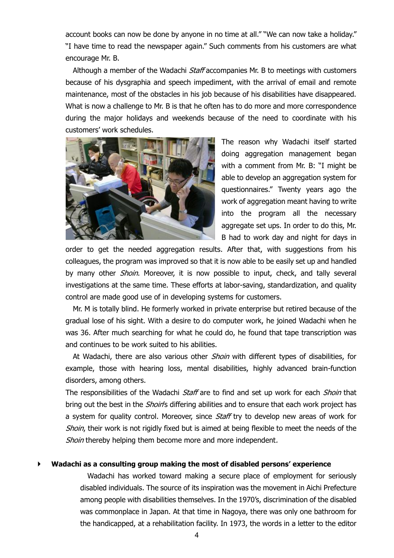account books can now be done by anyone in no time at all." "We can now take a holiday." "I have time to read the newspaper again." Such comments from his customers are what encourage Mr. B.

Although a member of the Wadachi *Staff* accompanies Mr. B to meetings with customers because of his dysgraphia and speech impediment, with the arrival of email and remote maintenance, most of the obstacles in his job because of his disabilities have disappeared. What is now a challenge to Mr. B is that he often has to do more and more correspondence during the major holidays and weekends because of the need to coordinate with his customers' work schedules.



 The reason why Wadachi itself started doing aggregation management began with a comment from Mr. B: "I might be able to develop an aggregation system for questionnaires." Twenty years ago the work of aggregation meant having to write into the program all the necessary aggregate set ups. In order to do this, Mr. B had to work day and night for days in

order to get the needed aggregation results. After that, with suggestions from his colleagues, the program was improved so that it is now able to be easily set up and handled by many other *Shoin*. Moreover, it is now possible to input, check, and tally several investigations at the same time. These efforts at labor-saving, standardization, and quality control are made good use of in developing systems for customers.

 Mr. M is totally blind. He formerly worked in private enterprise but retired because of the gradual lose of his sight. With a desire to do computer work, he joined Wadachi when he was 36. After much searching for what he could do, he found that tape transcription was and continues to be work suited to his abilities.

At Wadachi, there are also various other *Shoin* with different types of disabilities, for example, those with hearing loss, mental disabilities, highly advanced brain-function disorders, among others.

The responsibilities of the Wadachi Staff are to find and set up work for each Shoin that bring out the best in the *Shoin's* differing abilities and to ensure that each work project has a system for quality control. Moreover, since *Staff* try to develop new areas of work for Shoin, their work is not rigidly fixed but is aimed at being flexible to meet the needs of the Shoin thereby helping them become more and more independent.

#### **Wadachi as a consulting group making the most of disabled persons' experience**

 Wadachi has worked toward making a secure place of employment for seriously disabled individuals. The source of its inspiration was the movement in Aichi Prefecture among people with disabilities themselves. In the 1970's, discrimination of the disabled was commonplace in Japan. At that time in Nagoya, there was only one bathroom for the handicapped, at a rehabilitation facility. In 1973, the words in a letter to the editor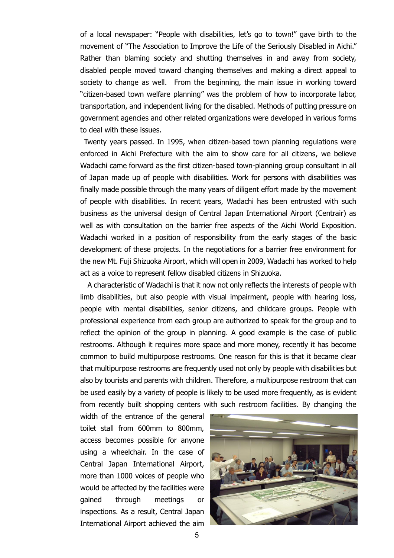of a local newspaper: "People with disabilities, let's go to town!" gave birth to the movement of "The Association to Improve the Life of the Seriously Disabled in Aichi." Rather than blaming society and shutting themselves in and away from society, disabled people moved toward changing themselves and making a direct appeal to society to change as well. From the beginning, the main issue in working toward "citizen-based town welfare planning" was the problem of how to incorporate labor, transportation, and independent living for the disabled. Methods of putting pressure on government agencies and other related organizations were developed in various forms to deal with these issues.

Twenty years passed. In 1995, when citizen-based town planning regulations were enforced in Aichi Prefecture with the aim to show care for all citizens, we believe Wadachi came forward as the first citizen-based town-planning group consultant in all of Japan made up of people with disabilities. Work for persons with disabilities was finally made possible through the many years of diligent effort made by the movement of people with disabilities. In recent years, Wadachi has been entrusted with such business as the universal design of Central Japan International Airport (Centrair) as well as with consultation on the barrier free aspects of the Aichi World Exposition. Wadachi worked in a position of responsibility from the early stages of the basic development of these projects. In the negotiations for a barrier free environment for the new Mt. Fuji Shizuoka Airport, which will open in 2009, Wadachi has worked to help act as a voice to represent fellow disabled citizens in Shizuoka.

 A characteristic of Wadachi is that it now not only reflects the interests of people with limb disabilities, but also people with visual impairment, people with hearing loss, people with mental disabilities, senior citizens, and childcare groups. People with professional experience from each group are authorized to speak for the group and to reflect the opinion of the group in planning. A good example is the case of public restrooms. Although it requires more space and more money, recently it has become common to build multipurpose restrooms. One reason for this is that it became clear that multipurpose restrooms are frequently used not only by people with disabilities but also by tourists and parents with children. Therefore, a multipurpose restroom that can be used easily by a variety of people is likely to be used more frequently, as is evident from recently built shopping centers with such restroom facilities. By changing the

width of the entrance of the general toilet stall from 600mm to 800mm, access becomes possible for anyone using a wheelchair. In the case of Central Japan International Airport, more than 1000 voices of people who would be affected by the facilities were gained through meetings or inspections. As a result, Central Japan International Airport achieved the aim

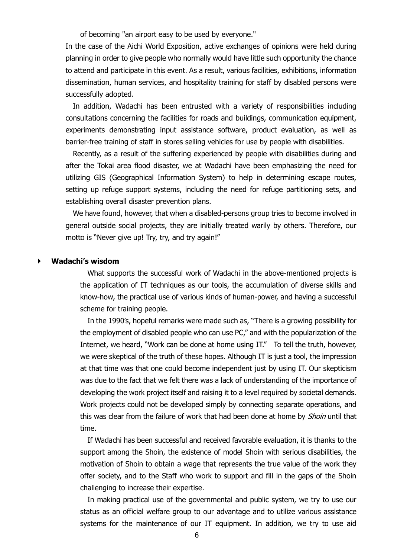of becoming "an airport easy to be used by everyone."

In the case of the Aichi World Exposition, active exchanges of opinions were held during planning in order to give people who normally would have little such opportunity the chance to attend and participate in this event. As a result, various facilities, exhibitions, information dissemination, human services, and hospitality training for staff by disabled persons were successfully adopted.

 In addition, Wadachi has been entrusted with a variety of responsibilities including consultations concerning the facilities for roads and buildings, communication equipment, experiments demonstrating input assistance software, product evaluation, as well as barrier-free training of staff in stores selling vehicles for use by people with disabilities.

 Recently, as a result of the suffering experienced by people with disabilities during and after the Tokai area flood disaster, we at Wadachi have been emphasizing the need for utilizing GIS (Geographical Information System) to help in determining escape routes, setting up refuge support systems, including the need for refuge partitioning sets, and establishing overall disaster prevention plans.

 We have found, however, that when a disabled-persons group tries to become involved in general outside social projects, they are initially treated warily by others. Therefore, our motto is "Never give up! Try, try, and try again!"

#### **Wadachi's wisdom**

 What supports the successful work of Wadachi in the above-mentioned projects is the application of IT techniques as our tools, the accumulation of diverse skills and know-how, the practical use of various kinds of human-power, and having a successful scheme for training people.

 In the 1990's, hopeful remarks were made such as, "There is a growing possibility for the employment of disabled people who can use PC," and with the popularization of the Internet, we heard, "Work can be done at home using IT." To tell the truth, however, we were skeptical of the truth of these hopes. Although IT is just a tool, the impression at that time was that one could become independent just by using IT. Our skepticism was due to the fact that we felt there was a lack of understanding of the importance of developing the work project itself and raising it to a level required by societal demands. Work projects could not be developed simply by connecting separate operations, and this was clear from the failure of work that had been done at home by *Shoin* until that time.

 If Wadachi has been successful and received favorable evaluation, it is thanks to the support among the Shoin, the existence of model Shoin with serious disabilities, the motivation of Shoin to obtain a wage that represents the true value of the work they offer society, and to the Staff who work to support and fill in the gaps of the Shoin challenging to increase their expertise.

 In making practical use of the governmental and public system, we try to use our status as an official welfare group to our advantage and to utilize various assistance systems for the maintenance of our IT equipment. In addition, we try to use aid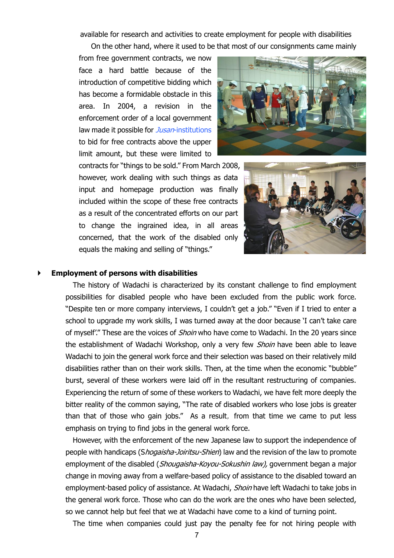available for research and activities to create employment for people with disabilities

On the other hand, where it used to be that most of our consignments came mainly

from free government contracts, we now face a hard battle because of the introduction of competitive bidding which has become a formidable obstacle in this area. In 2004, a revision in the enforcement order of a local government law made it possible for *Jusan*-institutions to bid for free contracts above the upper limit amount, but these were limited to



contracts for "things to be sold." From March 2008, however, work dealing with such things as data input and homepage production was finally included within the scope of these free contracts as a result of the concentrated efforts on our part to change the ingrained idea, in all areas concerned, that the work of the disabled only equals the making and selling of "things."



#### **Employment of persons with disabilities**

The history of Wadachi is characterized by its constant challenge to find employment possibilities for disabled people who have been excluded from the public work force. "Despite ten or more company interviews, I couldn't get a job." "Even if I tried to enter a school to upgrade my work skills, I was turned away at the door because 'I can't take care of myself'." These are the voices of *Shoin* who have come to Wadachi. In the 20 years since the establishment of Wadachi Workshop, only a very few Shoin have been able to leave Wadachi to join the general work force and their selection was based on their relatively mild disabilities rather than on their work skills. Then, at the time when the economic "bubble" burst, several of these workers were laid off in the resultant restructuring of companies. Experiencing the return of some of these workers to Wadachi, we have felt more deeply the bitter reality of the common saying, "The rate of disabled workers who lose jobs is greater than that of those who gain jobs." As a result, from that time we came to put less emphasis on trying to find jobs in the general work force.

However, with the enforcement of the new Japanese law to support the independence of people with handicaps (Shogaisha-Joiritsu-Shien) law and the revision of the law to promote employment of the disabled (*Shougaisha-Koyou-Sokushin law)*, government began a major change in moving away from a welfare-based policy of assistance to the disabled toward an employment-based policy of assistance. At Wadachi, Shoin have left Wadachi to take jobs in the general work force. Those who can do the work are the ones who have been selected, so we cannot help but feel that we at Wadachi have come to a kind of turning point.

The time when companies could just pay the penalty fee for not hiring people with